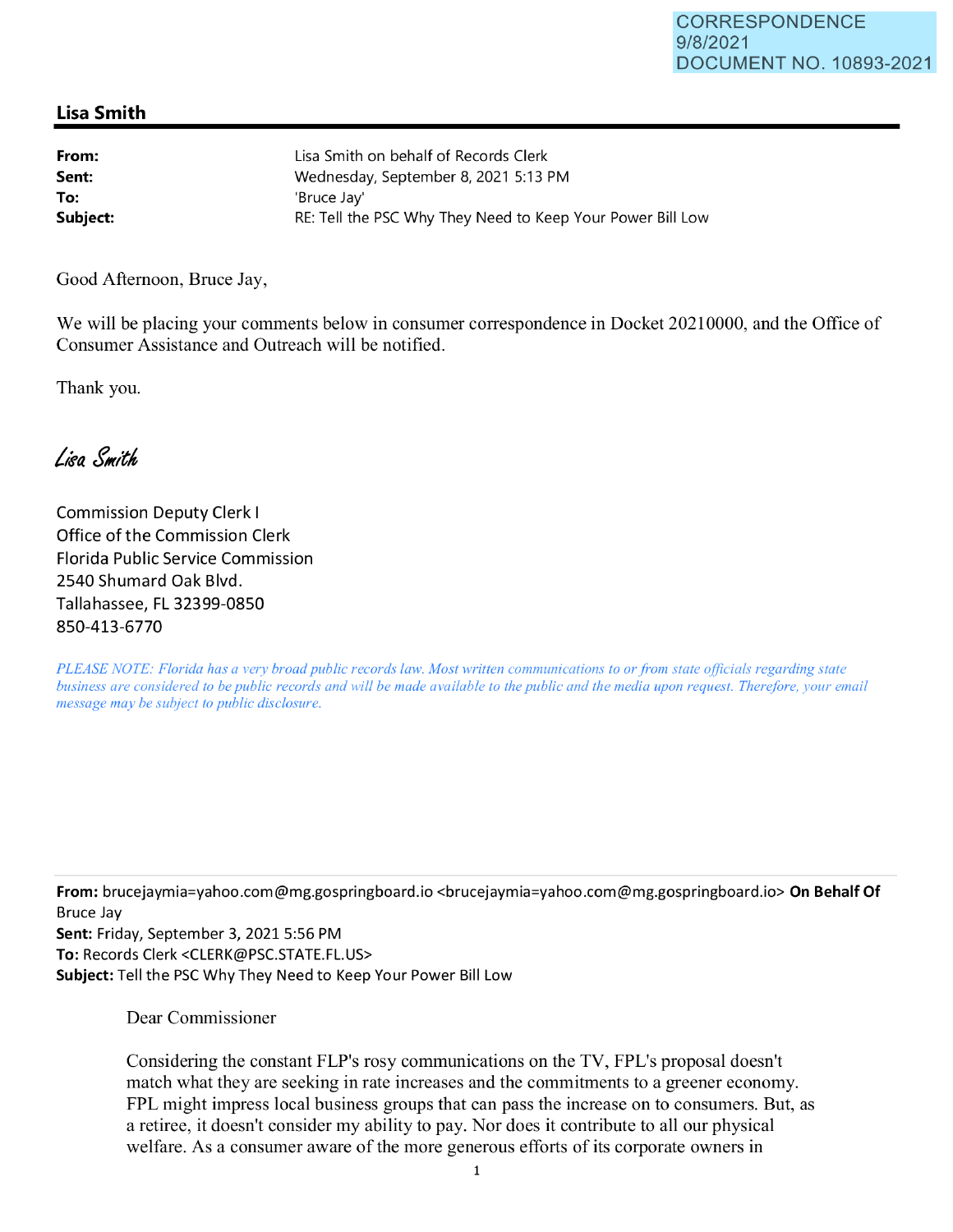## **Lisa Smith**

**From: Sent: To:**  Lisa Smith on behalf of Records Clerk Wednesday, September 8, 2021 5:13 PM 'Bruce Jay' **Subject: RE: Tell the PSC Why They Need to Keep Your Power Bill Low** 

Good Afternoon, Bruce Jay,

We will be placing your comments below in consumer correspondence in Docket 20210000, and the Office of Consumer Assistance and Outreach will be notified.

Thank you.

Lisa Smith

Commission Deputy Clerk I Office of the Commission Clerk Florida Public Service Commission 2540 Shumard Oak Blvd. Tallahassee, FL 32399-0850 850-413-6770

*PLEASE NOTE: Florida has a very broad public records law. Most written communications to or from state officials regarding state business are considered to be public records and will be made available to the public and the media upon request. Therefore, your email message may be subject to public disclosure.* 

**From:** brucejaymia=yahoo.com@mg.gospringboard.io <brucejaymia=yahoo.com@mg.gospringboard.io> **On Behalf Of**  Bruce Jay

**Sent:** Friday, September 3, 2021 5:56 PM **To:** Records Clerk <CLERK@PSC.STATE.FL.US> **Subject:** Tell the PSC Why They Need to Keep Your Power Bill Low

Dear Commissioner

Considering the constant FLP's rosy communications on the TV, FPL's proposal doesn't match what they are seeking in rate increases and the commitments to a greener economy. FPL might impress local business groups that can pass the increase on to consumers. But, as a retiree, it doesn't consider my ability to pay. Nor does it contribute to all our physical welfare. As a consumer aware of the more generous efforts of its corporate owners in